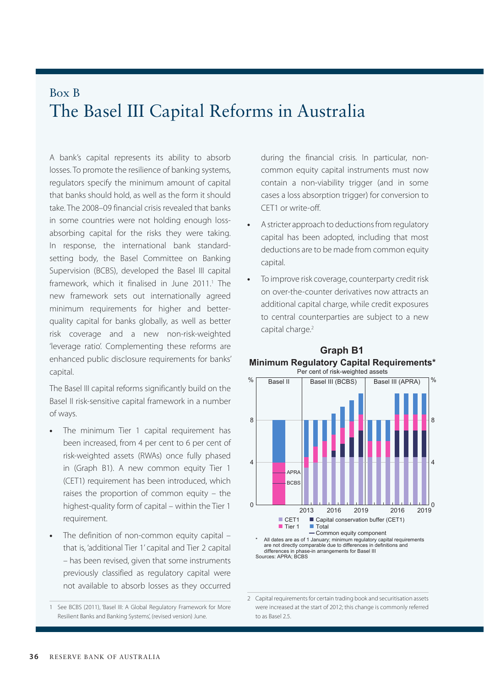## Box B The Basel III Capital Reforms in Australia

A bank's capital represents its ability to absorb losses. To promote the resilience of banking systems, regulators specify the minimum amount of capital that banks should hold, as well as the form it should take. The 2008–09 financial crisis revealed that banks in some countries were not holding enough lossabsorbing capital for the risks they were taking. In response, the international bank standardsetting body, the Basel Committee on Banking Supervision (BCBS), developed the Basel III capital framework, which it finalised in June 2011.<sup>1</sup> The new framework sets out internationally agreed minimum requirements for higher and betterquality capital for banks globally, as well as better risk coverage and a new non-risk-weighted 'leverage ratio'. Complementing these reforms are enhanced public disclosure requirements for banks' capital.

The Basel III capital reforms significantly build on the Basel II risk-sensitive capital framework in a number of ways.

- **•** The minimum Tier 1 capital requirement has been increased, from 4 per cent to 6 per cent of risk-weighted assets (RWAs) once fully phased in (Graph B1). A new common equity Tier 1 (CET1) requirement has been introduced, which raises the proportion of common equity – the highest-quality form of capital – within the Tier 1 requirement.
- **•** The definition of non-common equity capital that is, 'additional Tier 1' capital and Tier 2 capital – has been revised, given that some instruments previously classified as regulatory capital were not available to absorb losses as they occurred

during the financial crisis. In particular, noncommon equity capital instruments must now contain a non-viability trigger (and in some cases a loss absorption trigger) for conversion to CET1 or write-off.

- **•** A stricter approach to deductions from regulatory capital has been adopted, including that most deductions are to be made from common equity capital.
- **•** To improve risk coverage, counterparty credit risk on over-the-counter derivatives now attracts an additional capital charge, while credit exposures to central counterparties are subject to a new capital charge.<sup>2</sup>



**Minimum Regulatory Capital Requirements\* Graph B1**

2 Capital requirements for certain trading book and securitisation assets were increased at the start of 2012; this change is commonly referred to as Basel 2.5.

<sup>1</sup> See BCBS (2011), 'Basel III: A Global Regulatory Framework for More Resilient Banks and Banking Systems', (revised version) June.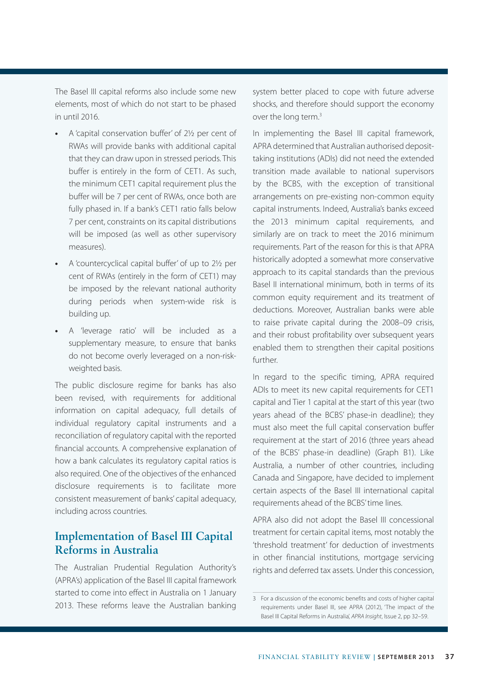The Basel III capital reforms also include some new elements, most of which do not start to be phased in until 2016.

- **•** A 'capital conservation buffer' of 2½ per cent of RWAs will provide banks with additional capital that they can draw upon in stressed periods. This buffer is entirely in the form of CET1. As such, the minimum CET1 capital requirement plus the buffer will be 7 per cent of RWAs, once both are fully phased in. If a bank's CET1 ratio falls below 7 per cent, constraints on its capital distributions will be imposed (as well as other supervisory measures).
- **•** A 'countercyclical capital buffer' of up to 2½ per cent of RWAs (entirely in the form of CET1) may be imposed by the relevant national authority during periods when system-wide risk is building up.
- **•** A 'leverage ratio' will be included as a supplementary measure, to ensure that banks do not become overly leveraged on a non-riskweighted basis.

The public disclosure regime for banks has also been revised, with requirements for additional information on capital adequacy, full details of individual regulatory capital instruments and a reconciliation of regulatory capital with the reported financial accounts. A comprehensive explanation of how a bank calculates its regulatory capital ratios is also required. One of the objectives of the enhanced disclosure requirements is to facilitate more consistent measurement of banks' capital adequacy, including across countries.

## **Implementation of Basel III Capital Reforms in Australia**

The Australian Prudential Regulation Authority's (APRA's) application of the Basel III capital framework started to come into effect in Australia on 1 January 2013. These reforms leave the Australian banking system better placed to cope with future adverse shocks, and therefore should support the economy over the long term.<sup>3</sup>

In implementing the Basel III capital framework, APRA determined that Australian authorised deposittaking institutions (ADIs) did not need the extended transition made available to national supervisors by the BCBS, with the exception of transitional arrangements on pre-existing non-common equity capital instruments. Indeed, Australia's banks exceed the 2013 minimum capital requirements, and similarly are on track to meet the 2016 minimum requirements. Part of the reason for this is that APRA historically adopted a somewhat more conservative approach to its capital standards than the previous Basel II international minimum, both in terms of its common equity requirement and its treatment of deductions. Moreover, Australian banks were able to raise private capital during the 2008–09 crisis, and their robust profitability over subsequent years enabled them to strengthen their capital positions further.

In regard to the specific timing, APRA required ADIs to meet its new capital requirements for CET1 capital and Tier 1 capital at the start of this year (two years ahead of the BCBS' phase-in deadline); they must also meet the full capital conservation buffer requirement at the start of 2016 (three years ahead of the BCBS' phase-in deadline) (Graph B1). Like Australia, a number of other countries, including Canada and Singapore, have decided to implement certain aspects of the Basel III international capital requirements ahead of the BCBS' time lines.

APRA also did not adopt the Basel III concessional treatment for certain capital items, most notably the 'threshold treatment' for deduction of investments in other financial institutions, mortgage servicing rights and deferred tax assets. Under this concession,

<sup>3</sup> For a discussion of the economic benefits and costs of higher capital requirements under Basel III, see APRA (2012), 'The impact of the Basel III Capital Reforms in Australia', *APRA Insight*, Issue 2, pp 32–59.